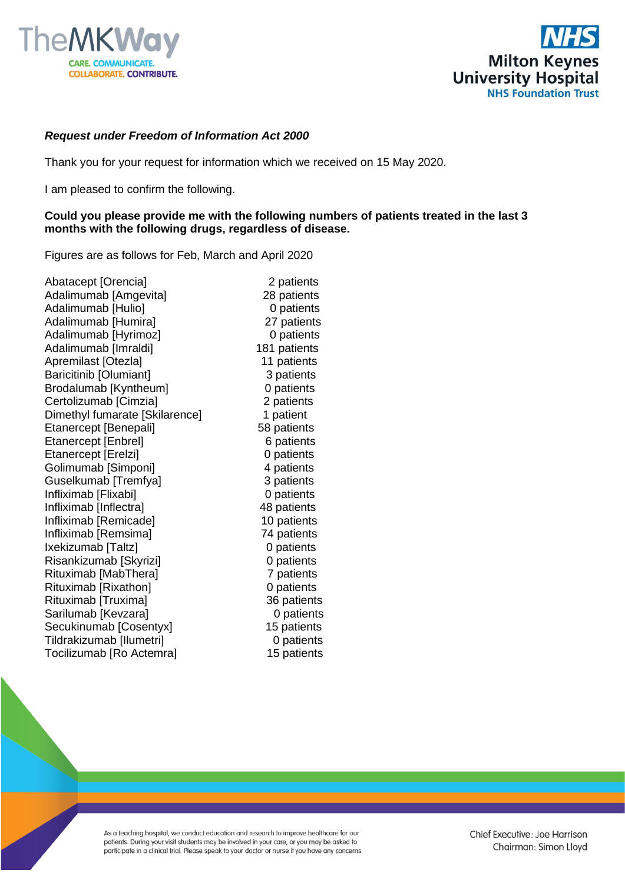



## *Request under Freedom of Information Act 2000*

Thank you for your request for information which we received on 15 May 2020.

I am pleased to confirm the following.

## **Could you please provide me with the following numbers of patients treated in the last 3 months with the following drugs, regardless of disease.**

Figures are as follows for Feb, March and April 2020

Abatacept [Orencia] 2 patients Adalimumab [Amgevita] 28 patients Adalimumab [Hulio] **0** patients Adalimumab [Humira] 27 patients Adalimumab [Hyrimoz] 0 patients Adalimumab [Imraldi] 181 patients Apremilast [Otezla] 11 patients Baricitinib [Olumiant] 3 patients Brodalumab [Kyntheum] 0 patients<br>
Certolizumab [Cimzia] 2 patients Certolizumab [Cimzia] Dimethyl fumarate [Skilarence] 1 patient Etanercept [Benepali] 58 patients Etanercept [Enbrel] 6 patients Etanercept [Erelzi] 0 patients Golimumab [Simponi] 4 patients Guselkumab [Tremfya] 3 patients Infliximab [Flixabi] 0 patients Infliximab [Inflectra] 48 patients Infliximab [Remicade] 10 patients Infliximab [Remsima] 74 patients Ixekizumab [Taltz] 0 patients Risankizumab [Skyrizi] 0 patients Rituximab [MabThera] 7 patients Rituximab [Rixathon] 0 patients Rituximab [Truxima] 36 patients Sarilumab [Kevzara] 0 patients Secukinumab [Cosentyx] 15 patients Tildrakizumab [Ilumetri] 0 patients Tocilizumab [Ro Actemra] 15 patients

As a teaching hospital, we conduct education and research to improve healthcare for our patients. During your visit students may be involved in your care, or you may be asked to participate in a clinical trial. Please speak to your doctor or nurse if you have any concerns. Chief Executive: Joe Harrison Chairman: Simon Lloyd